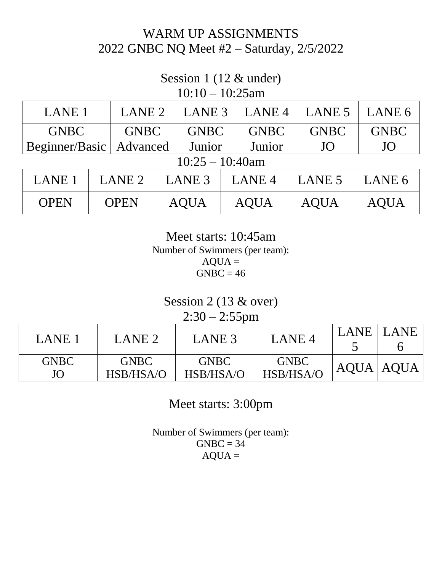## WARM UP ASSIGNMENTS 2022 GNBC NQ Meet #2 – Saturday, 2/5/2022

## Session 1 (12 & under)

| $10:10-10:25am$    |  |                   |        |                   |  |                   |                   |                   |
|--------------------|--|-------------------|--------|-------------------|--|-------------------|-------------------|-------------------|
| LANE <sub>1</sub>  |  | LANE <sub>2</sub> |        | LANE <sub>3</sub> |  | LANE <sub>4</sub> | LANE <sub>5</sub> | LANE 6            |
| <b>GNBC</b>        |  | <b>GNBC</b>       |        | <b>GNBC</b>       |  | <b>GNBC</b>       | <b>GNBC</b>       | <b>GNBC</b>       |
| Beginner/Basic     |  | Advanced          | Junior |                   |  | Junior            | JO                | JO                |
| $10:25 - 10:40$ am |  |                   |        |                   |  |                   |                   |                   |
| <b>LANE 1</b>      |  | LANE <sub>2</sub> |        | LANE <sub>3</sub> |  | LANE <sub>4</sub> | <b>LANE 5</b>     | LANE <sub>6</sub> |
| <b>OPEN</b>        |  | <b>OPEN</b>       |        | <b>AQUA</b>       |  | <b>AOUA</b>       | <b>AQUA</b>       | <b>AQUA</b>       |

Meet starts: 10:45am Number of Swimmers (per team):  $AQUA =$  $GNBC = 46$ 

Session 2 (13 & over)  $2:30 - 2:55$ pm

| LANE 1      | LANE <sub>2</sub> | LANE 3      | LANE <sub>4</sub> | LANE | LANE <sup>1</sup> |
|-------------|-------------------|-------------|-------------------|------|-------------------|
| <b>GNBC</b> | <b>GNBC</b>       | <b>GNBC</b> | <b>GNBC</b>       |      | AQUA   AQUA       |
| JO          | HSB/HSA/O         | HSB/HSA/O   | HSB/HSA/O         |      |                   |

Meet starts: 3:00pm

Number of Swimmers (per team):  $GNBC = 34$  $AQUA =$